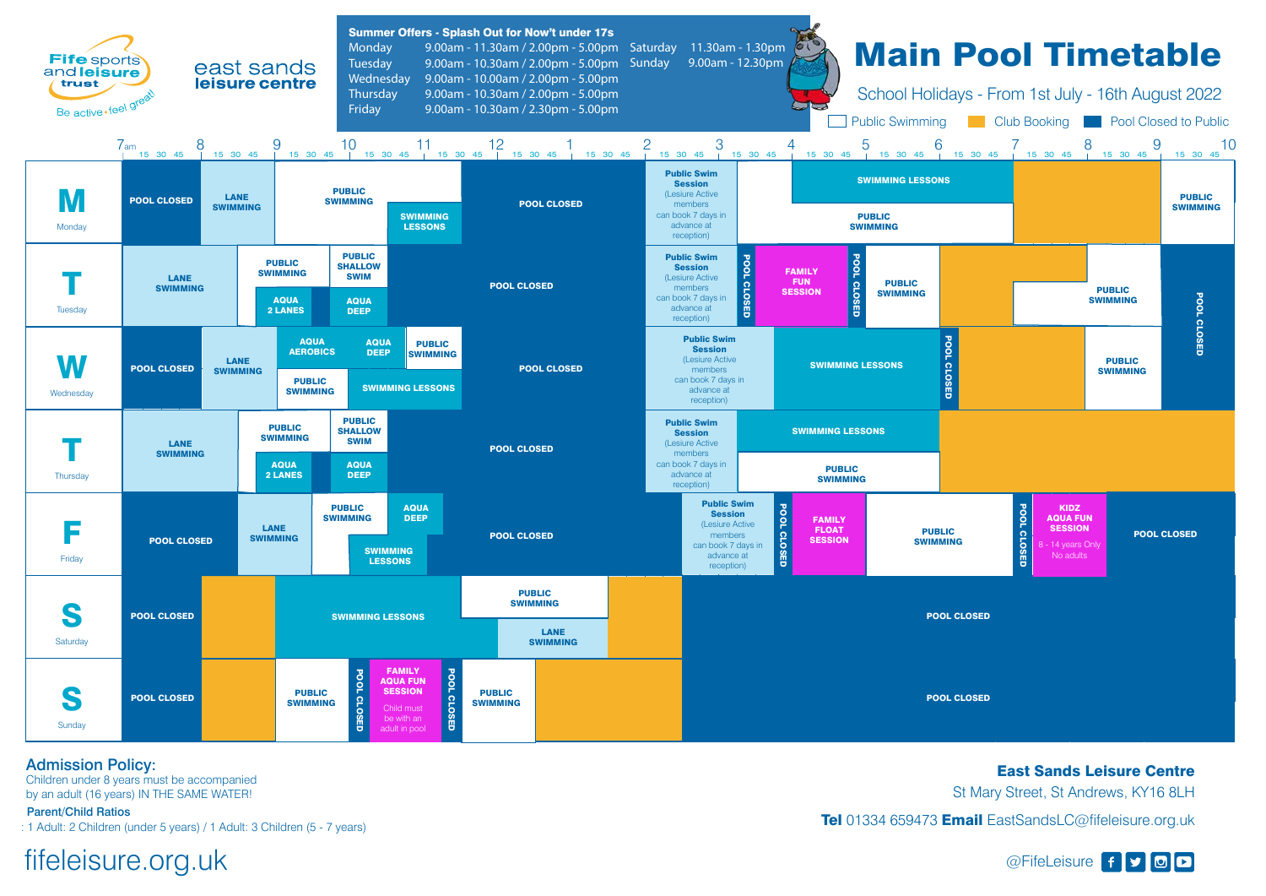Admission Policy:

Children under 8 years must be accompanied by an adult (16 years) IN THE SAME WATER!

Parent/Child Ratios

: 1 Adult: 2 Children (under 5 years) / 1 Adult: 3 Children (5 - 7 years)

East Sands Leisure Centre St Mary Street, St Andrews, KY16 8LH Tel 01334 659473 Email EastSandsLC@fifeleisure.org.uk

## fifeleisure.org.uk and the settle state of state of state of state of state of state of state of state of state of state of state of state of state of state of state of state of state of state of state of state of state of